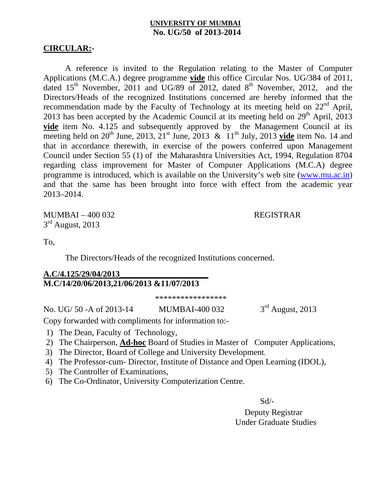### **UNIVERSITY OF MUMBAI No. UG/50 of 2013-2014**

### **CIRCULAR:-**

A reference is invited to the Regulation relating to the Master of Computer Applications (M.C.A.) degree programme **vide** this office Circular Nos. UG/384 of 2011, dated  $15<sup>th</sup>$  November, 2011 and UG/89 of 2012, dated  $8<sup>th</sup>$  November, 2012, and the Directors/Heads of the recognized Institutions concerned are hereby informed that the recommendation made by the Faculty of Technology at its meeting held on  $22<sup>nd</sup>$  April, 2013 has been accepted by the Academic Council at its meeting held on  $29<sup>th</sup>$  April, 2013 **vide** item No. 4.125 and subsequently approved by the Management Council at its meeting held on 20<sup>th</sup> June, 2013,  $21^{st}$  June, 2013 &  $11^{th}$  July, 2013 **vide** item No. 14 and that in accordance therewith, in exercise of the powers conferred upon Management Council under Section 55 (1) of the Maharashtra Universities Act, 1994, Regulation 8704 regarding class improvement for Master of Computer Applications (M.C.A) degree programme is introduced, which is available on the University's web site (www.mu.ac.in) and that the same has been brought into force with effect from the academic year 2013–2014.

MUMBAI – 400 032 REGISTRAR  $3<sup>rd</sup>$  August, 2013

To,

The Directors/Heads of the recognized Institutions concerned.

### **A.C/4.125/29/04/2013\_\_\_\_\_\_\_\_\_\_\_\_\_\_\_\_\_\_\_\_\_ M.C/14/20/06/2013,21/06/2013 &11/07/2013**

\*\*\*\*\*\*\*\*\*\*\*\*\*\*\*\*\*

No. UG/ 50 -A of 2013-14 MUMBAI-400 032 3<sup>rd</sup> August, 2013

Copy forwarded with compliments for information to:-

- 1) The Dean, Faculty of Technology,
- 2) The Chairperson, **Ad-hoc** Board of Studies in Master of Computer Applications,
- 3) The Director, Board of College and University Development,
- 4) The Professor-cum- Director, Institute of Distance and Open Learning (IDOL),
- 5) The Controller of Examinations,
- 6) The Co-Ordinator, University Computerization Centre.

Sd/-

 Deputy Registrar Under Graduate Studies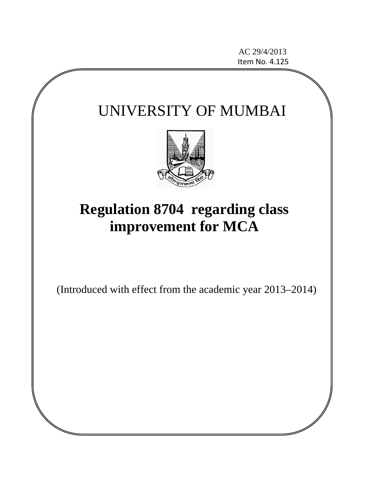AC 29/4/2013 Item No. 4.125

# UNIVERSITY OF MUMBAI



# **Regulation 8704 regarding class improvement for MCA**

(Introduced with effect from the academic year 2013–2014)